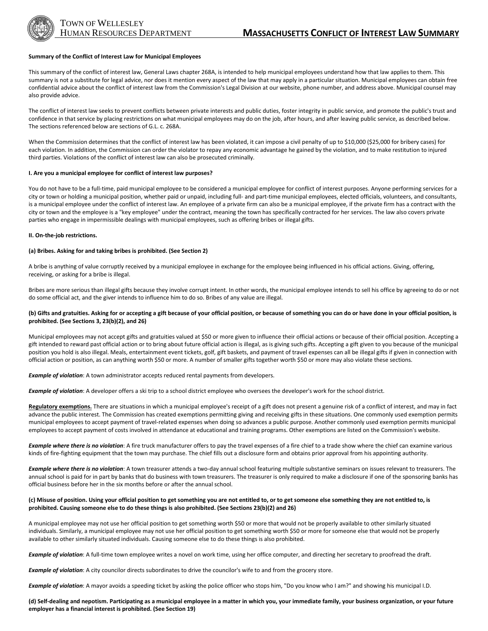

### **Summary of the Conflict of Interest Law for Municipal Employees**

This summary of the conflict of interest law, General Laws chapter 268A, is intended to help municipal employees understand how that law applies to them. This summary is not a substitute for legal advice, nor does it mention every aspect of the law that may apply in a particular situation. Municipal employees can obtain free confidential advice about the conflict of interest law from the Commission's Legal Division at our website, phone number, and address above. Municipal counsel may also provide advice.

The conflict of interest law seeks to prevent conflicts between private interests and public duties, foster integrity in public service, and promote the public's trust and confidence in that service by placing restrictions on what municipal employees may do on the job, after hours, and after leaving public service, as described below. The sections referenced below are sections of G.L. c. 268A.

When the Commission determines that the conflict of interest law has been violated, it can impose a civil penalty of up to \$10,000 (\$25,000 for bribery cases) for each violation. In addition, the Commission can order the violator to repay any economic advantage he gained by the violation, and to make restitution to injured third parties. Violations of the conflict of interest law can also be prosecuted criminally.

### **I. Are you a municipal employee for conflict of interest law purposes?**

You do not have to be a full-time, paid municipal employee to be considered a municipal employee for conflict of interest purposes. Anyone performing services for a city or town or holding a municipal position, whether paid or unpaid, including full- and part-time municipal employees, elected officials, volunteers, and consultants, is a municipal employee under the conflict of interest law. An employee of a private firm can also be a municipal employee, if the private firm has a contract with the city or town and the employee is a "key employee" under the contract, meaning the town has specifically contracted for her services. The law also covers private parties who engage in impermissible dealings with municipal employees, such as offering bribes or illegal gifts.

#### **II. On-the-job restrictions.**

#### **(a) Bribes. Asking for and taking bribes is prohibited. (See Section 2)**

A bribe is anything of value corruptly received by a municipal employee in exchange for the employee being influenced in his official actions. Giving, offering, receiving, or asking for a bribe is illegal.

Bribes are more serious than illegal gifts because they involve corrupt intent. In other words, the municipal employee intends to sell his office by agreeing to do or not do some official act, and the giver intends to influence him to do so. Bribes of any value are illegal.

### **(b) Gifts and gratuities. Asking for or accepting a gift because of your official position, or because of something you can do or have done in your official position, is prohibited. (See Sections 3, 23(b)(2), and 26)**

Municipal employees may not accept gifts and gratuities valued at \$50 or more given to influence their official actions or because of their official position. Accepting a gift intended to reward past official action or to bring about future official action is illegal, as is giving such gifts. Accepting a gift given to you because of the municipal position you hold is also illegal. Meals, entertainment event tickets, golf, gift baskets, and payment of travel expenses can all be illegal gifts if given in connection with official action or position, as can anything worth \$50 or more. A number of smaller gifts together worth \$50 or more may also violate these sections.

*Example of violation*: A town administrator accepts reduced rental payments from developers.

*Example of violation*: A developer offers a ski trip to a school district employee who oversees the developer's work for the school district.

**Regulatory exemptions.** There are situations in which a municipal employee's receipt of a gift does not present a genuine risk of a conflict of interest, and may in fact advance the public interest. The Commission has created exemptions permitting giving and receiving gifts in these situations. One commonly used exemption permits municipal employees to accept payment of travel-related expenses when doing so advances a public purpose. Another commonly used exemption permits municipal employees to accept payment of costs involved in attendance at educational and training programs. Other exemptions are listed on the Commission's website.

*Example where there is no violation*: A fire truck manufacturer offers to pay the travel expenses of a fire chief to a trade show where the chief can examine various kinds of fire-fighting equipment that the town may purchase. The chief fills out a disclosure form and obtains prior approval from his appointing authority.

*Example where there is no violation*: A town treasurer attends a two-day annual school featuring multiple substantive seminars on issues relevant to treasurers. The annual school is paid for in part by banks that do business with town treasurers. The treasurer is only required to make a disclosure if one of the sponsoring banks has official business before her in the six months before or after the annual school.

### **(c) Misuse of position. Using your official position to get something you are not entitled to, or to get someone else something they are not entitled to, is prohibited. Causing someone else to do these things is also prohibited. (See Sections 23(b)(2) and 26)**

A municipal employee may not use her official position to get something worth \$50 or more that would not be properly available to other similarly situated individuals. Similarly, a municipal employee may not use her official position to get something worth \$50 or more for someone else that would not be properly available to other similarly situated individuals. Causing someone else to do these things is also prohibited.

*Example of violation*: A full-time town employee writes a novel on work time, using her office computer, and directing her secretary to proofread the draft.

*Example of violation*: A city councilor directs subordinates to drive the councilor's wife to and from the grocery store.

*Example of violation*: A mayor avoids a speeding ticket by asking the police officer who stops him, "Do you know who I am?" and showing his municipal I.D.

**(d) Self-dealing and nepotism. Participating as a municipal employee in a matter in which you, your immediate family, your business organization, or your future employer has a financial interest is prohibited. (See Section 19)**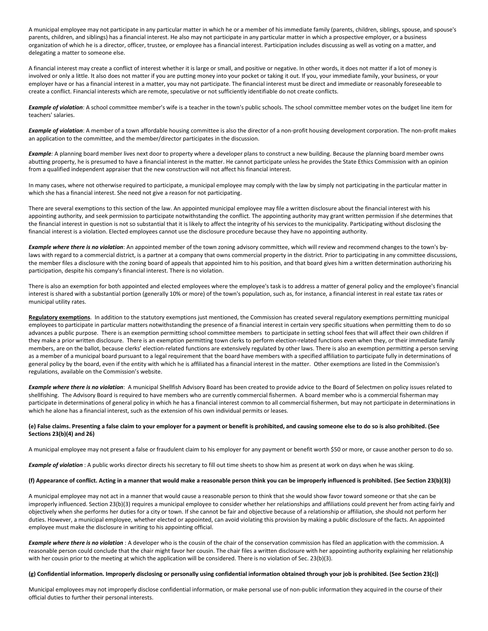A municipal employee may not participate in any particular matter in which he or a member of his immediate family (parents, children, siblings, spouse, and spouse's parents, children, and siblings) has a financial interest. He also may not participate in any particular matter in which a prospective employer, or a business organization of which he is a director, officer, trustee, or employee has a financial interest. Participation includes discussing as well as voting on a matter, and delegating a matter to someone else.

A financial interest may create a conflict of interest whether it is large or small, and positive or negative. In other words, it does not matter if a lot of money is involved or only a little. It also does not matter if you are putting money into your pocket or taking it out. If you, your immediate family, your business, or your employer have or has a financial interest in a matter, you may not participate. The financial interest must be direct and immediate or reasonably foreseeable to create a conflict. Financial interests which are remote, speculative or not sufficiently identifiable do not create conflicts.

*Example of violation*: A school committee member's wife is a teacher in the town's public schools. The school committee member votes on the budget line item for teachers' salaries.

*Example of violation*: A member of a town affordable housing committee is also the director of a non-profit housing development corporation. The non-profit makes an application to the committee, and the member/director participates in the discussion.

*Example:* A planning board member lives next door to property where a developer plans to construct a new building. Because the planning board member owns abutting property, he is presumed to have a financial interest in the matter. He cannot participate unless he provides the State Ethics Commission with an opinion from a qualified independent appraiser that the new construction will not affect his financial interest.

In many cases, where not otherwise required to participate, a municipal employee may comply with the law by simply not participating in the particular matter in which she has a financial interest. She need not give a reason for not participating.

There are several exemptions to this section of the law. An appointed municipal employee may file a written disclosure about the financial interest with his appointing authority, and seek permission to participate notwithstanding the conflict. The appointing authority may grant written permission if she determines that the financial interest in question is not so substantial that it is likely to affect the integrity of his services to the municipality. Participating without disclosing the financial interest is a violation. Elected employees cannot use the disclosure procedure because they have no appointing authority.

*Example where there is no violation*: An appointed member of the town zoning advisory committee, which will review and recommend changes to the town's bylaws with regard to a commercial district, is a partner at a company that owns commercial property in the district. Prior to participating in any committee discussions, the member files a disclosure with the zoning board of appeals that appointed him to his position, and that board gives him a written determination authorizing his participation, despite his company's financial interest. There is no violation.

There is also an exemption for both appointed and elected employees where the employee's task is to address a matter of general policy and the employee's financial interest is shared with a substantial portion (generally 10% or more) of the town's population, such as, for instance, a financial interest in real estate tax rates or municipal utility rates.

**Regulatory exemptions**. In addition to the statutory exemptions just mentioned, the Commission has created several regulatory exemptions permitting municipal employees to participate in particular matters notwithstanding the presence of a financial interest in certain very specific situations when permitting them to do so advances a public purpose. There is an exemption permitting school committee members to participate in setting school fees that will affect their own children if they make a prior written disclosure. There is an exemption permitting town clerks to perform election-related functions even when they, or their immediate family members, are on the ballot, because clerks' election-related functions are extensively regulated by other laws. There is also an exemption permitting a person serving as a member of a municipal board pursuant to a legal requirement that the board have members with a specified affiliation to participate fully in determinations of general policy by the board, even if the entity with which he is affiliated has a financial interest in the matter. Other exemptions are listed in the Commission's regulations, available on the Commission's website.

*Example where there is no violation*: A municipal Shellfish Advisory Board has been created to provide advice to the Board of Selectmen on policy issues related to shellfishing. The Advisory Board is required to have members who are currently commercial fishermen. A board member who is a commercial fisherman may participate in determinations of general policy in which he has a financial interest common to all commercial fishermen, but may not participate in determinations in which he alone has a financial interest, such as the extension of his own individual permits or leases.

# **(e) False claims. Presenting a false claim to your employer for a payment or benefit is prohibited, and causing someone else to do so is also prohibited. (See Sections 23(b)(4) and 26)**

A municipal employee may not present a false or fraudulent claim to his employer for any payment or benefit worth \$50 or more, or cause another person to do so.

*Example of violation* : A public works director directs his secretary to fill out time sheets to show him as present at work on days when he was skiing.

# **(f) Appearance of conflict. Acting in a manner that would make a reasonable person think you can be improperly influenced is prohibited. (See Section 23(b)(3))**

A municipal employee may not act in a manner that would cause a reasonable person to think that she would show favor toward someone or that she can be improperly influenced. Section 23(b)(3) requires a municipal employee to consider whether her relationships and affiliations could prevent her from acting fairly and objectively when she performs her duties for a city or town. If she cannot be fair and objective because of a relationship or affiliation, she should not perform her duties. However, a municipal employee, whether elected or appointed, can avoid violating this provision by making a public disclosure of the facts. An appointed employee must make the disclosure in writing to his appointing official.

*Example where there is no violation* : A developer who is the cousin of the chair of the conservation commission has filed an application with the commission. A reasonable person could conclude that the chair might favor her cousin. The chair files a written disclosure with her appointing authority explaining her relationship with her cousin prior to the meeting at which the application will be considered. There is no violation of Sec. 23(b)(3).

#### **(g) Confidential information. Improperly disclosing or personally using confidential information obtained through your job is prohibited. (See Section 23(c))**

Municipal employees may not improperly disclose confidential information, or make personal use of non-public information they acquired in the course of their official duties to further their personal interests.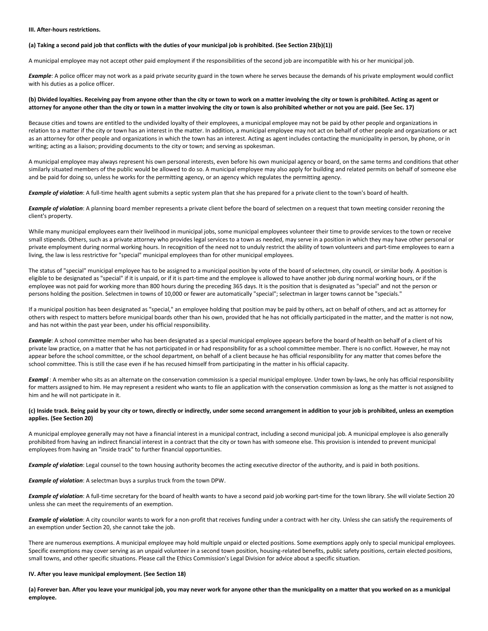# **III. After-hours restrictions.**

### **(a) Taking a second paid job that conflicts with the duties of your municipal job is prohibited. (See Section 23(b)(1))**

A municipal employee may not accept other paid employment if the responsibilities of the second job are incompatible with his or her municipal job.

*Example*: A police officer may not work as a paid private security guard in the town where he serves because the demands of his private employment would conflict with his duties as a police officer.

# **(b) Divided loyalties. Receiving pay from anyone other than the city or town to work on a matter involving the city or town is prohibited. Acting as agent or attorney for anyone other than the city or town in a matter involving the city or town is also prohibited whether or not you are paid. (See Sec. 17)**

Because cities and towns are entitled to the undivided loyalty of their employees, a municipal employee may not be paid by other people and organizations in relation to a matter if the city or town has an interest in the matter. In addition, a municipal employee may not act on behalf of other people and organizations or act as an attorney for other people and organizations in which the town has an interest. Acting as agent includes contacting the municipality in person, by phone, or in writing; acting as a liaison; providing documents to the city or town; and serving as spokesman.

A municipal employee may always represent his own personal interests, even before his own municipal agency or board, on the same terms and conditions that other similarly situated members of the public would be allowed to do so. A municipal employee may also apply for building and related permits on behalf of someone else and be paid for doing so, unless he works for the permitting agency, or an agency which regulates the permitting agency.

*Example of violation*: A full-time health agent submits a septic system plan that she has prepared for a private client to the town's board of health.

*Example of violation*: A planning board member represents a private client before the board of selectmen on a request that town meeting consider rezoning the client's property.

While many municipal employees earn their livelihood in municipal jobs, some municipal employees volunteer their time to provide services to the town or receive small stipends. Others, such as a private attorney who provides legal services to a town as needed, may serve in a position in which they may have other personal or private employment during normal working hours. In recognition of the need not to unduly restrict the ability of town volunteers and part-time employees to earn a living, the law is less restrictive for "special" municipal employees than for other municipal employees.

The status of "special" municipal employee has to be assigned to a municipal position by vote of the board of selectmen, city council, or similar body. A position is eligible to be designated as "special" if it is unpaid, or if it is part-time and the employee is allowed to have another job during normal working hours, or if the employee was not paid for working more than 800 hours during the preceding 365 days. It is the position that is designated as "special" and not the person or persons holding the position. Selectmen in towns of 10,000 or fewer are automatically "special"; selectman in larger towns cannot be "specials."

If a municipal position has been designated as "special," an employee holding that position may be paid by others, act on behalf of others, and act as attorney for others with respect to matters before municipal boards other than his own, provided that he has not officially participated in the matter, and the matter is not now, and has not within the past year been, under his official responsibility.

*Example*: A school committee member who has been designated as a special municipal employee appears before the board of health on behalf of a client of his private law practice, on a matter that he has not participated in or had responsibility for as a school committee member. There is no conflict. However, he may not appear before the school committee, or the school department, on behalf of a client because he has official responsibility for any matter that comes before the school committee. This is still the case even if he has recused himself from participating in the matter in his official capacity.

*Exampl* : A member who sits as an alternate on the conservation commission is a special municipal employee. Under town by-laws, he only has official responsibility for matters assigned to him. He may represent a resident who wants to file an application with the conservation commission as long as the matter is not assigned to him and he will not participate in it.

# **(c) Inside track. Being paid by your city or town, directly or indirectly, under some second arrangement in addition to your job is prohibited, unless an exemption applies. (See Section 20)**

A municipal employee generally may not have a financial interest in a municipal contract, including a second municipal job. A municipal employee is also generally prohibited from having an indirect financial interest in a contract that the city or town has with someone else. This provision is intended to prevent municipal employees from having an "inside track" to further financial opportunities.

*Example of violation*: Legal counsel to the town housing authority becomes the acting executive director of the authority, and is paid in both positions.

*Example of violation*: A selectman buys a surplus truck from the town DPW.

*Example of violation*: A full-time secretary for the board of health wants to have a second paid job working part-time for the town library. She will violate Section 20 unless she can meet the requirements of an exemption.

*Example of violation*: A city councilor wants to work for a non-profit that receives funding under a contract with her city. Unless she can satisfy the requirements of an exemption under Section 20, she cannot take the job.

There are numerous exemptions. A municipal employee may hold multiple unpaid or elected positions. Some exemptions apply only to special municipal employees. Specific exemptions may cover serving as an unpaid volunteer in a second town position, housing-related benefits, public safety positions, certain elected positions, small towns, and other specific situations. Please call the Ethics Commission's Legal Division for advice about a specific situation.

# **IV. After you leave municipal employment. (See Section 18)**

**(a) Forever ban. After you leave your municipal job, you may never work for anyone other than the municipality on a matter that you worked on as a municipal employee.**